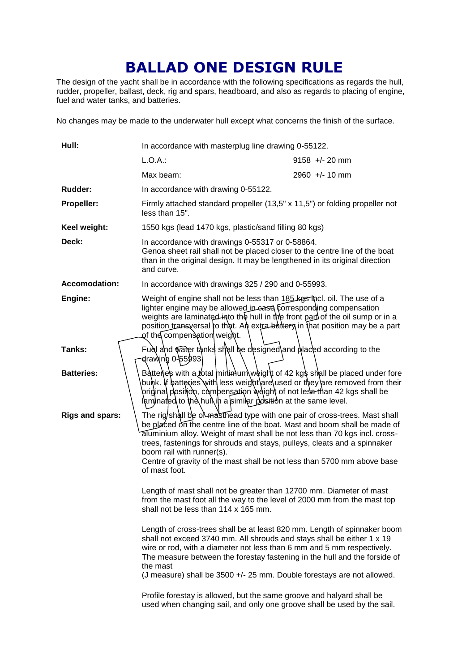## **BALLAD ONE DESIGN RULE**

The design of the yacht shall be in accordance with the following specifications as regards the hull, rudder, propeller, ballast, deck, rig and spars, headboard, and also as regards to placing of engine, fuel and water tanks, and batteries.

No changes may be made to the underwater hull except what concerns the finish of the surface.

| Hull:                  | In accordance with masterplug line drawing 0-55122.                                                                                                                                                                                                                                                                                                                                                                                       |                  |
|------------------------|-------------------------------------------------------------------------------------------------------------------------------------------------------------------------------------------------------------------------------------------------------------------------------------------------------------------------------------------------------------------------------------------------------------------------------------------|------------------|
|                        | $L.O.A.$ :                                                                                                                                                                                                                                                                                                                                                                                                                                | $9158 +/- 20$ mm |
|                        | Max beam:                                                                                                                                                                                                                                                                                                                                                                                                                                 | $2960 +/- 10$ mm |
| Rudder:                | In accordance with drawing 0-55122.                                                                                                                                                                                                                                                                                                                                                                                                       |                  |
| Propeller:             | Firmly attached standard propeller (13,5" x 11,5") or folding propeller not<br>less than 15".                                                                                                                                                                                                                                                                                                                                             |                  |
| Keel weight:           | 1550 kgs (lead 1470 kgs, plastic/sand filling 80 kgs)                                                                                                                                                                                                                                                                                                                                                                                     |                  |
| Deck:                  | In accordance with drawings 0-55317 or 0-58864.<br>Genoa sheet rail shall not be placed closer to the centre line of the boat<br>than in the original design. It may be lengthened in its original direction<br>and curve.                                                                                                                                                                                                                |                  |
| <b>Accomodation:</b>   | In accordance with drawings 325 / 290 and 0-55993.                                                                                                                                                                                                                                                                                                                                                                                        |                  |
| Engine:                | Weight of engine shall not be less than 185 kgs thcl. oil. The use of a<br>lighter engine may be allowed in ease corresponding compensation<br>weights are laminated into the hull in the front part of the oil sump or in a<br>position transversal to that. An extra battery in that position may be a part<br>of the compensation weight.                                                                                              |                  |
| Tanks:                 | Fuel and water tanks shall be designed and placed according to the<br>⊲traw∖ing 0-55993.                                                                                                                                                                                                                                                                                                                                                  |                  |
| <b>Batteries:</b>      | Battenes with a <i>fotal</i> minimum weight of 42 kgs shall be placed under fore<br>bunk. If batteries with less weight are used or they are removed from their<br>þriginal positiοn, combensation weight of not less than 42 kgs shall be<br>laminated to the hull in a similar position at the same level.                                                                                                                              |                  |
| <b>Rigs and spars:</b> | The rig shall be of masthead type with one pair of cross-trees. Mast shall<br>be placed on the centre line of the boat. Mast and boom shall be made of<br>aluminium alloy. Weight of mast shall be not less than 70 kgs incl. cross-<br>trees, fastenings for shrouds and stays, pulleys, cleats and a spinnaker<br>boom rail with runner(s).<br>Centre of gravity of the mast shall be not less than 5700 mm above base<br>of mast foot. |                  |
|                        | Length of mast shall not be greater than 12700 mm. Diameter of mast<br>from the mast foot all the way to the level of 2000 mm from the mast top<br>shall not be less than 114 x 165 mm.                                                                                                                                                                                                                                                   |                  |
|                        | Length of cross-trees shall be at least 820 mm. Length of spinnaker boom<br>shall not exceed 3740 mm. All shrouds and stays shall be either 1 x 19<br>wire or rod, with a diameter not less than 6 mm and 5 mm respectively.<br>The measure between the forestay fastening in the hull and the forside of<br>the mast<br>(J measure) shall be 3500 +/- 25 mm. Double forestays are not allowed.                                           |                  |
|                        | Profile forestay is allowed, but the same groove and halyard shall be<br>used when changing sail, and only one groove shall be used by the sail.                                                                                                                                                                                                                                                                                          |                  |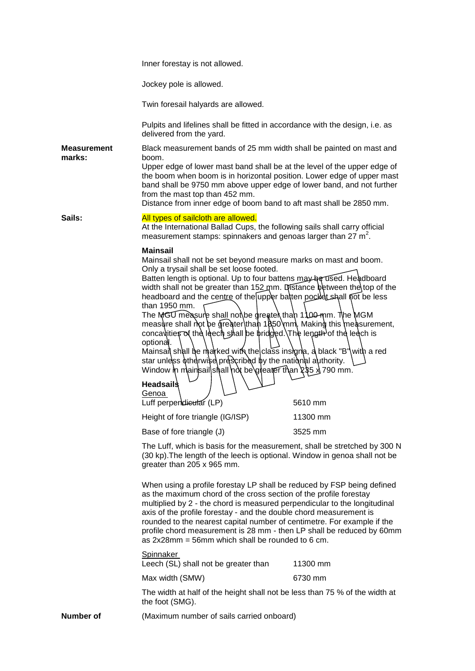|                              | Inner forestay is not allowed.                                                                                                                                                                                                                                                                                                                                                                                                                                                                                                                                                                                                                                                                                                                                                                                                               |                     |
|------------------------------|----------------------------------------------------------------------------------------------------------------------------------------------------------------------------------------------------------------------------------------------------------------------------------------------------------------------------------------------------------------------------------------------------------------------------------------------------------------------------------------------------------------------------------------------------------------------------------------------------------------------------------------------------------------------------------------------------------------------------------------------------------------------------------------------------------------------------------------------|---------------------|
|                              | Jockey pole is allowed.                                                                                                                                                                                                                                                                                                                                                                                                                                                                                                                                                                                                                                                                                                                                                                                                                      |                     |
|                              | Twin foresail halyards are allowed.                                                                                                                                                                                                                                                                                                                                                                                                                                                                                                                                                                                                                                                                                                                                                                                                          |                     |
|                              | Pulpits and lifelines shall be fitted in accordance with the design, i.e. as<br>delivered from the yard.                                                                                                                                                                                                                                                                                                                                                                                                                                                                                                                                                                                                                                                                                                                                     |                     |
| <b>Measurement</b><br>marks: | Black measurement bands of 25 mm width shall be painted on mast and<br>boom.<br>Upper edge of lower mast band shall be at the level of the upper edge of<br>the boom when boom is in horizontal position. Lower edge of upper mast<br>band shall be 9750 mm above upper edge of lower band, and not further<br>from the mast top than 452 mm.<br>Distance from inner edge of boom band to aft mast shall be 2850 mm.                                                                                                                                                                                                                                                                                                                                                                                                                         |                     |
| Sails:                       | All types of sailcloth are allowed.<br>At the International Ballad Cups, the following sails shall carry official<br>measurement stamps: spinnakers and genoas larger than 27 $m^2$ .                                                                                                                                                                                                                                                                                                                                                                                                                                                                                                                                                                                                                                                        |                     |
|                              | <b>Mainsail</b><br>Mainsail shall not be set beyond measure marks on mast and boom.<br>Only a trysail shall be set loose footed.<br>Batten length is optional. Up to four battens may be used. Headboard<br>width shall not be greater than 152 mm. Distance between the top of the<br>headboard and the centre of the upper batten pocket shall not be less<br>than 1950 mm.<br>The MGU measure shall not be greater than 1100-mm. The MGM<br>measure shall not be greater than 1850 mm. Making this measurement,<br>concavities of the leech shall be bridged. The length of the leech is<br>optional.<br>Mainsail shall be marked with the class insigna, a black "B" with a red<br>star unless otherwise prescribed by the national authority.<br>Window in mainsailshall not be greater than 235 x 790 mm.<br><b>Headsails</b><br>Genoa |                     |
|                              | Luff perpendieutar (LP)<br>Height of fore triangle (IG/ISP)                                                                                                                                                                                                                                                                                                                                                                                                                                                                                                                                                                                                                                                                                                                                                                                  | 5610 mm<br>11300 mm |
|                              | Base of fore triangle (J)                                                                                                                                                                                                                                                                                                                                                                                                                                                                                                                                                                                                                                                                                                                                                                                                                    | 3525 mm             |
|                              | The Luff, which is basis for the measurement, shall be stretched by 300 N<br>(30 kp). The length of the leech is optional. Window in genoa shall not be<br>greater than 205 x 965 mm.                                                                                                                                                                                                                                                                                                                                                                                                                                                                                                                                                                                                                                                        |                     |
|                              | When using a profile forestay LP shall be reduced by FSP being defined<br>as the maximum chord of the cross section of the profile forestay<br>multiplied by 2 - the chord is measured perpendicular to the longitudinal<br>axis of the profile forestay - and the double chord measurement is<br>rounded to the nearest capital number of centimetre. For example if the<br>profile chord measurement is 28 mm - then LP shall be reduced by 60mm<br>as $2x28mm = 56mm$ which shall be rounded to 6 cm.                                                                                                                                                                                                                                                                                                                                     |                     |
|                              | <b>Spinnaker</b><br>Leech (SL) shall not be greater than                                                                                                                                                                                                                                                                                                                                                                                                                                                                                                                                                                                                                                                                                                                                                                                     | 11300 mm            |
|                              | Max width (SMW)                                                                                                                                                                                                                                                                                                                                                                                                                                                                                                                                                                                                                                                                                                                                                                                                                              | 6730 mm             |
|                              | The width at half of the height shall not be less than 75 % of the width at<br>the foot (SMG).                                                                                                                                                                                                                                                                                                                                                                                                                                                                                                                                                                                                                                                                                                                                               |                     |
| Number of                    | (Maximum number of sails carried onboard)                                                                                                                                                                                                                                                                                                                                                                                                                                                                                                                                                                                                                                                                                                                                                                                                    |                     |